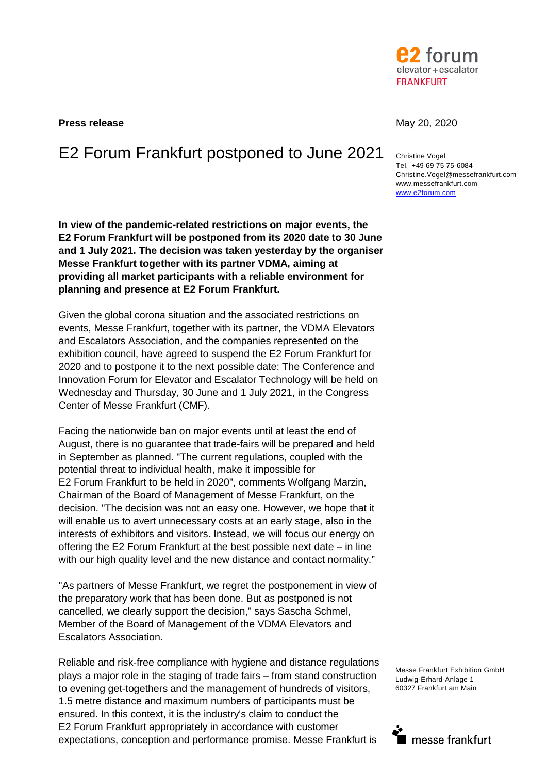

**Press release May 20, 2020** 

# E2 Forum Frankfurt postponed to June 2021 Christine Vogel

**In view of the pandemic-related restrictions on major events, the E2 Forum Frankfurt will be postponed from its 2020 date to 30 June and 1 July 2021. The decision was taken yesterday by the organiser Messe Frankfurt together with its partner VDMA, aiming at providing all market participants with a reliable environment for planning and presence at E2 Forum Frankfurt.** 

Given the global corona situation and the associated restrictions on events, Messe Frankfurt, together with its partner, the VDMA Elevators and Escalators Association, and the companies represented on the exhibition council, have agreed to suspend the E2 Forum Frankfurt for 2020 and to postpone it to the next possible date: The Conference and Innovation Forum for Elevator and Escalator Technology will be held on Wednesday and Thursday, 30 June and 1 July 2021, in the Congress Center of Messe Frankfurt (CMF).

Facing the nationwide ban on major events until at least the end of August, there is no guarantee that trade-fairs will be prepared and held in September as planned. "The current regulations, coupled with the potential threat to individual health, make it impossible for E2 Forum Frankfurt to be held in 2020", comments Wolfgang Marzin, Chairman of the Board of Management of Messe Frankfurt, on the decision. "The decision was not an easy one. However, we hope that it will enable us to avert unnecessary costs at an early stage, also in the interests of exhibitors and visitors. Instead, we will focus our energy on offering the E2 Forum Frankfurt at the best possible next date – in line with our high quality level and the new distance and contact normality."

"As partners of Messe Frankfurt, we regret the postponement in view of the preparatory work that has been done. But as postponed is not cancelled, we clearly support the decision," says Sascha Schmel, Member of the Board of Management of the VDMA Elevators and Escalators Association.

Reliable and risk-free compliance with hygiene and distance regulations plays a major role in the staging of trade fairs – from stand construction to evening get-togethers and the management of hundreds of visitors, 1.5 metre distance and maximum numbers of participants must be ensured. In this context, it is the industry's claim to conduct the E2 Forum Frankfurt appropriately in accordance with customer expectations, conception and performance promise. Messe Frankfurt is

Tel. +49 69 75 75-6084 Christine.Vogel@messefrankfurt.com www.messefrankfurt.com www.e2forum.com

Messe Frankfurt Exhibition GmbH Ludwig-Erhard-Anlage 1 60327 Frankfurt am Main

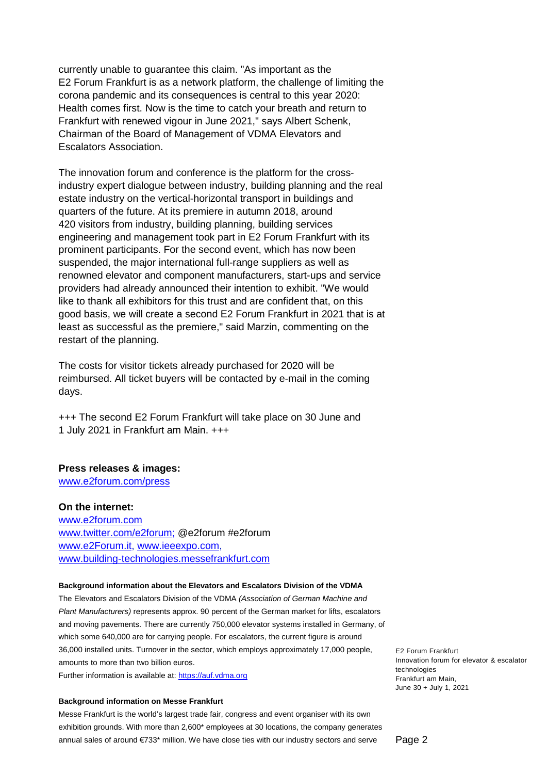currently unable to guarantee this claim. "As important as the E2 Forum Frankfurt is as a network platform, the challenge of limiting the corona pandemic and its consequences is central to this year 2020: Health comes first. Now is the time to catch your breath and return to Frankfurt with renewed vigour in June 2021," says Albert Schenk, Chairman of the Board of Management of VDMA Elevators and Escalators Association.

The innovation forum and conference is the platform for the crossindustry expert dialogue between industry, building planning and the real estate industry on the vertical-horizontal transport in buildings and quarters of the future. At its premiere in autumn 2018, around 420 visitors from industry, building planning, building services engineering and management took part in E2 Forum Frankfurt with its prominent participants. For the second event, which has now been suspended, the major international full-range suppliers as well as renowned elevator and component manufacturers, start-ups and service providers had already announced their intention to exhibit. "We would like to thank all exhibitors for this trust and are confident that, on this good basis, we will create a second E2 Forum Frankfurt in 2021 that is at least as successful as the premiere," said Marzin, commenting on the restart of the planning.

The costs for visitor tickets already purchased for 2020 will be reimbursed. All ticket buyers will be contacted by e-mail in the coming days.

+++ The second E2 Forum Frankfurt will take place on 30 June and 1 July 2021 in Frankfurt am Main. +++

# **Press releases & images:**

www.e2forum.com/press

**On the internet:**  www.e2forum.com www.twitter.com/e2forum; @e2forum #e2forum www.e2Forum.it, www.ieeexpo.com, www.building-technologies.messefrankfurt.com

## **Background information about the Elevators and Escalators Division of the VDMA**

The Elevators and Escalators Division of the VDMA *(Association of German Machine and Plant Manufacturers)* represents approx. 90 percent of the German market for lifts, escalators and moving pavements. There are currently 750,000 elevator systems installed in Germany, of which some 640,000 are for carrying people. For escalators, the current figure is around 36,000 installed units. Turnover in the sector, which employs approximately 17,000 people, amounts to more than two billion euros. Further information is available at: https://auf.vdma.org

## **Background information on Messe Frankfurt**

Messe Frankfurt is the world's largest trade fair, congress and event organiser with its own exhibition grounds. With more than 2,600\* employees at 30 locations, the company generates annual sales of around €733\* million. We have close ties with our industry sectors and serve

E2 Forum Frankfurt Innovation forum for elevator & escalator technologies Frankfurt am Main, June 30 + July 1, 2021